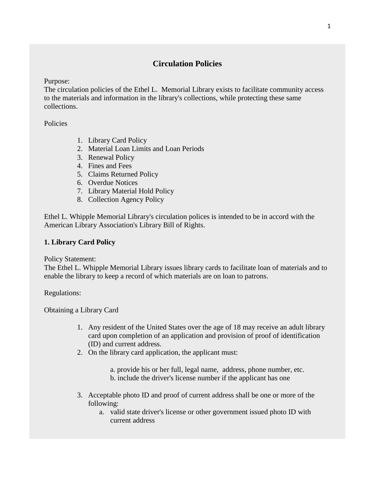# **Circulation Policies**

Purpose:

The circulation policies of the Ethel L. Memorial Library exists to facilitate community access to the materials and information in the library's collections, while protecting these same collections.

Policies

- 1. Library Card Policy
- 2. Material Loan Limits and Loan Periods
- 3. Renewal Policy
- 4. Fines and Fees
- 5. Claims Returned Policy
- 6. Overdue Notices
- 7. Library Material Hold Policy
- 8. Collection Agency Policy

Ethel L. Whipple Memorial Library's circulation polices is intended to be in accord with the American Library Association's Library Bill of Rights.

# **1. Library Card Policy**

Policy Statement:

The Ethel L. Whipple Memorial Library issues library cards to facilitate loan of materials and to enable the library to keep a record of which materials are on loan to patrons.

Regulations:

Obtaining a Library Card

- 1. Any resident of the United States over the age of 18 may receive an adult library card upon completion of an application and provision of proof of identification (ID) and current address.
- 2. On the library card application, the applicant must:
	- a. provide his or her full, legal name, address, phone number, etc. b. include the driver's license number if the applicant has one
- 3. Acceptable photo ID and proof of current address shall be one or more of the following:
	- a. valid state driver's license or other government issued photo ID with current address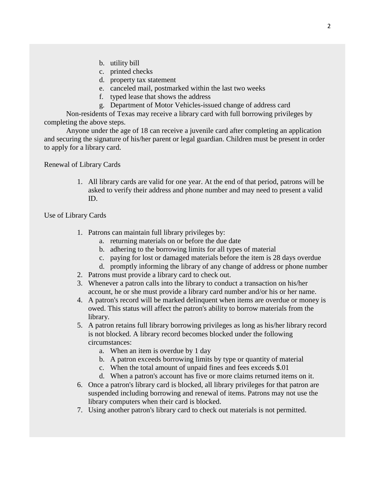- b. utility bill
- c. printed checks
- d. property tax statement
- e. canceled mail, postmarked within the last two weeks
- f. typed lease that shows the address
- g. Department of Motor Vehicles-issued change of address card

Non-residents of Texas may receive a library card with full borrowing privileges by completing the above steps.

Anyone under the age of 18 can receive a juvenile card after completing an application and securing the signature of his/her parent or legal guardian. Children must be present in order to apply for a library card.

Renewal of Library Cards

1. All library cards are valid for one year. At the end of that period, patrons will be asked to verify their address and phone number and may need to present a valid ID.

Use of Library Cards

- 1. Patrons can maintain full library privileges by:
	- a. returning materials on or before the due date
	- b. adhering to the borrowing limits for all types of material
	- c. paying for lost or damaged materials before the item is 28 days overdue
	- d. promptly informing the library of any change of address or phone number
- 2. Patrons must provide a library card to check out.
- 3. Whenever a patron calls into the library to conduct a transaction on his/her account, he or she must provide a library card number and/or his or her name.
- 4. A patron's record will be marked delinquent when items are overdue or money is owed. This status will affect the patron's ability to borrow materials from the library.
- 5. A patron retains full library borrowing privileges as long as his/her library record is not blocked. A library record becomes blocked under the following circumstances:
	- a. When an item is overdue by 1 day
	- b. A patron exceeds borrowing limits by type or quantity of material
	- c. When the total amount of unpaid fines and fees exceeds \$.01
	- d. When a patron's account has five or more claims returned items on it.
- 6. Once a patron's library card is blocked, all library privileges for that patron are suspended including borrowing and renewal of items. Patrons may not use the library computers when their card is blocked.
- 7. Using another patron's library card to check out materials is not permitted.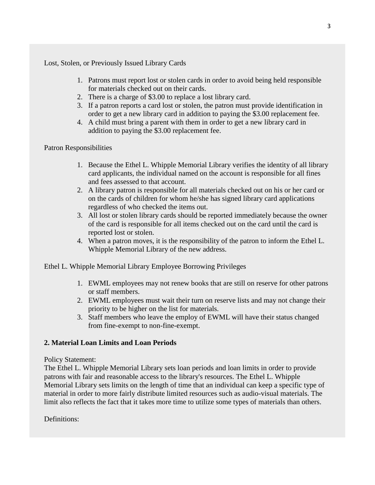Lost, Stolen, or Previously Issued Library Cards

- 1. Patrons must report lost or stolen cards in order to avoid being held responsible for materials checked out on their cards.
- 2. There is a charge of \$3.00 to replace a lost library card.
- 3. If a patron reports a card lost or stolen, the patron must provide identification in order to get a new library card in addition to paying the \$3.00 replacement fee.
- 4. A child must bring a parent with them in order to get a new library card in addition to paying the \$3.00 replacement fee.

# Patron Responsibilities

- 1. Because the Ethel L. Whipple Memorial Library verifies the identity of all library card applicants, the individual named on the account is responsible for all fines and fees assessed to that account.
- 2. A library patron is responsible for all materials checked out on his or her card or on the cards of children for whom he/she has signed library card applications regardless of who checked the items out.
- 3. All lost or stolen library cards should be reported immediately because the owner of the card is responsible for all items checked out on the card until the card is reported lost or stolen.
- 4. When a patron moves, it is the responsibility of the patron to inform the Ethel L. Whipple Memorial Library of the new address.

Ethel L. Whipple Memorial Library Employee Borrowing Privileges

- 1. EWML employees may not renew books that are still on reserve for other patrons or staff members.
- 2. EWML employees must wait their turn on reserve lists and may not change their priority to be higher on the list for materials.
- 3. Staff members who leave the employ of EWML will have their status changed from fine-exempt to non-fine-exempt.

# **2. Material Loan Limits and Loan Periods**

# Policy Statement:

The Ethel L. Whipple Memorial Library sets loan periods and loan limits in order to provide patrons with fair and reasonable access to the library's resources. The Ethel L. Whipple Memorial Library sets limits on the length of time that an individual can keep a specific type of material in order to more fairly distribute limited resources such as audio-visual materials. The limit also reflects the fact that it takes more time to utilize some types of materials than others.

Definitions: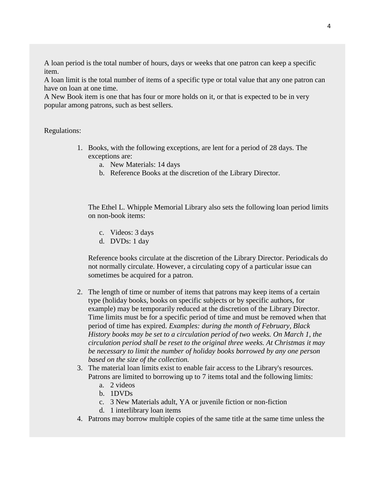A loan period is the total number of hours, days or weeks that one patron can keep a specific item.

A loan limit is the total number of items of a specific type or total value that any one patron can have on loan at one time.

A New Book item is one that has four or more holds on it, or that is expected to be in very popular among patrons, such as best sellers.

#### Regulations:

- 1. Books, with the following exceptions, are lent for a period of 28 days. The exceptions are:
	- a. New Materials: 14 days
	- b. Reference Books at the discretion of the Library Director.

The Ethel L. Whipple Memorial Library also sets the following loan period limits on non-book items:

- c. Videos: 3 days
- d. DVDs: 1 day

Reference books circulate at the discretion of the Library Director. Periodicals do not normally circulate. However, a circulating copy of a particular issue can sometimes be acquired for a patron.

- 2. The length of time or number of items that patrons may keep items of a certain type (holiday books, books on specific subjects or by specific authors, for example) may be temporarily reduced at the discretion of the Library Director. Time limits must be for a specific period of time and must be removed when that period of time has expired. *Examples: during the month of February, Black History books may be set to a circulation period of two weeks. On March 1, the circulation period shall be reset to the original three weeks. At Christmas it may be necessary to limit the number of holiday books borrowed by any one person based on the size of the collection.*
- 3. The material loan limits exist to enable fair access to the Library's resources. Patrons are limited to borrowing up to 7 items total and the following limits:
	- a. 2 videos
	- b. 1DVDs
	- c. 3 New Materials adult, YA or juvenile fiction or non-fiction
	- d. 1 interlibrary loan items
- 4. Patrons may borrow multiple copies of the same title at the same time unless the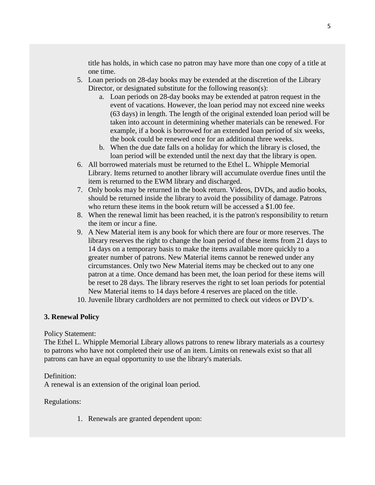title has holds, in which case no patron may have more than one copy of a title at one time.

- 5. Loan periods on 28-day books may be extended at the discretion of the Library Director, or designated substitute for the following reason(s):
	- a. Loan periods on 28-day books may be extended at patron request in the event of vacations. However, the loan period may not exceed nine weeks (63 days) in length. The length of the original extended loan period will be taken into account in determining whether materials can be renewed. For example, if a book is borrowed for an extended loan period of six weeks, the book could be renewed once for an additional three weeks.
	- b. When the due date falls on a holiday for which the library is closed, the loan period will be extended until the next day that the library is open.
- 6. All borrowed materials must be returned to the Ethel L. Whipple Memorial Library. Items returned to another library will accumulate overdue fines until the item is returned to the EWM library and discharged.
- 7. Only books may be returned in the book return. Videos, DVDs, and audio books, should be returned inside the library to avoid the possibility of damage. Patrons who return these items in the book return will be accessed a \$1,00 fee.
- 8. When the renewal limit has been reached, it is the patron's responsibility to return the item or incur a fine.
- 9. A New Material item is any book for which there are four or more reserves. The library reserves the right to change the loan period of these items from 21 days to 14 days on a temporary basis to make the items available more quickly to a greater number of patrons. New Material items cannot be renewed under any circumstances. Only two New Material items may be checked out to any one patron at a time. Once demand has been met, the loan period for these items will be reset to 28 days. The library reserves the right to set loan periods for potential New Material items to 14 days before 4 reserves are placed on the title.
- 10. Juvenile library cardholders are not permitted to check out videos or DVD's.

# **3. Renewal Policy**

# Policy Statement:

The Ethel L. Whipple Memorial Library allows patrons to renew library materials as a courtesy to patrons who have not completed their use of an item. Limits on renewals exist so that all patrons can have an equal opportunity to use the library's materials.

# Definition:

A renewal is an extension of the original loan period.

# Regulations:

1. Renewals are granted dependent upon: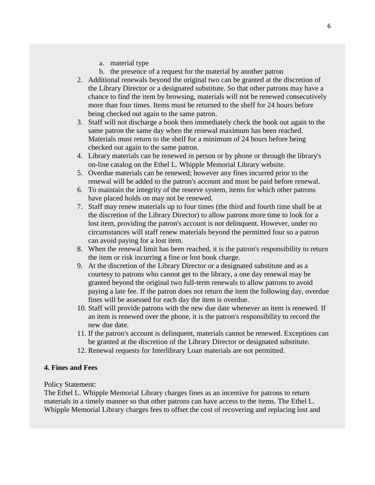- a. material type
- b. the presence of a request for the material by another patron
- 2. Additional renewals beyond the original two can be granted at the discretion of the Library Director or a designated substitute. So that other patrons may have a chance to find the item by browsing, materials will not be renewed consecutively more than four times. Items must be returned to the shelf for 24 hours before being checked out again to the same patron.
- 3. Staff will not discharge a book then immediately check the book out again to the same patron the same day when the renewal maximum has been reached. Materials must return to the shelf for a minimum of 24 hours before being checked out again to the same patron.
- 4. Library materials can be renewed in person or by phone or through the library's on-line catalog on the Ethel L. Whipple Memorial Library website.
- 5. Overdue materials can be renewed; however any fines incurred prior to the renewal will be added to the patron's account and must be paid before renewal.
- 6. To maintain the integrity of the reserve system, items for which other patrons have placed holds on may not be renewed.
- 7. Staff may renew materials up to four times (the third and fourth time shall be at the discretion of the Library Director) to allow patrons more time to look for a lost item, providing the patron's account is not delinquent. However, under no circumstances will staff renew materials beyond the permitted four so a patron can avoid paying for a lost item.
- 8. When the renewal limit has been reached, it is the patron's responsibility to return the item or risk incurring a fine or lost book charge.
- 9. At the discretion of the Library Director or a designated substitute and as a courtesy to patrons who cannot get to the library, a one day renewal may be granted beyond the original two full-term renewals to allow patrons to avoid paying a late fee. If the patron does not return the item the following day, overdue fines will be assessed for each day the item is overdue.
- 10. Staff will provide patrons with the new due date whenever an item is renewed. If an item is renewed over the phone, it is the patron's responsibility to record the new due date.
- 11. If the patron's account is delinquent, materials cannot be renewed. Exceptions can be granted at the discretion of the Library Director or designated substitute.
- 12. Renewal requests for Interlibrary Loan materials are not permitted.

#### **4. Fines and Fees**

Policy Statement:

The Ethel L. Whipple Memorial Library charges fines as an incentive for patrons to return materials in a timely manner so that other patrons can have access to the items. The Ethel L. Whipple Memorial Library charges fees to offset the cost of recovering and replacing lost and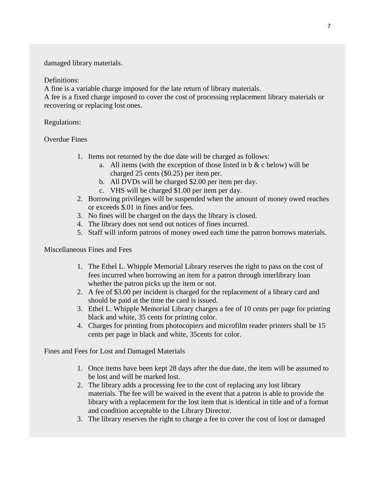damaged library materials.

# Definitions:

A fine is a variable charge imposed for the late return of library materials.

A fee is a fixed charge imposed to cover the cost of processing replacement library materials or recovering or replacing lost ones.

# Regulations:

# Overdue Fines

- 1. Items not returned by the due date will be charged as follows:
	- a. All items (with the exception of those listed in b  $&$  c below) will be charged 25 cents (\$0.25) per item per.
	- b. All DVDs will be charged \$2.00 per item per day.
	- c. VHS will be charged \$1.00 per item per day.
- 2. Borrowing privileges will be suspended when the amount of money owed reaches or exceeds \$.01 in fines and/or fees.
- 3. No fines will be charged on the days the library is closed.
- 4. The library does not send out notices of fines incurred.
- 5. Staff will inform patrons of money owed each time the patron borrows materials.

Miscellaneous Fines and Fees

- 1. The Ethel L. Whipple Memorial Library reserves the right to pass on the cost of fees incurred when borrowing an item for a patron through interlibrary loan whether the patron picks up the item or not.
- 2. A fee of \$3.00 per incident is charged for the replacement of a library card and should be paid at the time the card is issued.
- 3. Ethel L. Whipple Memorial Library charges a fee of 10 cents per page for printing black and white, 35 cents for printing color.
- 4. Charges for printing from photocopiers and microfilm reader printers shall be 15 cents per page in black and white, 35cents for color.

Fines and Fees for Lost and Damaged Materials

- 1. Once items have been kept 28 days after the due date, the item will be assumed to be lost and will be marked lost.
- 2. The library adds a processing fee to the cost of replacing any lost library materials. The fee will be waived in the event that a patron is able to provide the library with a replacement for the lost item that is identical in title and of a format and condition acceptable to the Library Director.
- 3. The library reserves the right to charge a fee to cover the cost of lost or damaged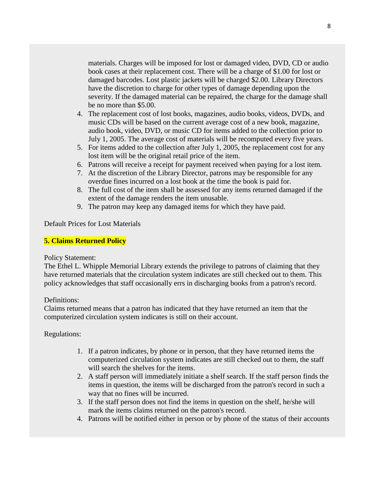materials. Charges will be imposed for lost or damaged video, DVD, CD or audio book cases at their replacement cost. There will be a charge of \$1.00 for lost or damaged barcodes. Lost plastic jackets will be charged \$2.00. Library Directors have the discretion to charge for other types of damage depending upon the severity. If the damaged material can be repaired, the charge for the damage shall be no more than \$5.00.

- 4. The replacement cost of lost books, magazines, audio books, videos, DVDs, and music CDs will be based on the current average cost of a new book, magazine, audio book, video, DVD, or music CD for items added to the collection prior to July 1, 2005. The average cost of materials will be recomputed every five years.
- 5. For items added to the collection after July 1, 2005, the replacement cost for any lost item will be the original retail price of the item.
- 6. Patrons will receive a receipt for payment received when paying for a lost item.
- 7. At the discretion of the Library Director, patrons may be responsible for any overdue fines incurred on a lost book at the time the book is paid for.
- 8. The full cost of the item shall be assessed for any items returned damaged if the extent of the damage renders the item unusable.
- 9. The patron may keep any damaged items for which they have paid.

Default Prices for Lost Materials

#### **5. Claims Returned Policy**

#### Policy Statement:

The Ethel L. Whipple Memorial Library extends the privilege to patrons of claiming that they have returned materials that the circulation system indicates are still checked out to them. This policy acknowledges that staff occasionally errs in discharging books from a patron's record.

#### Definitions:

Claims returned means that a patron has indicated that they have returned an item that the computerized circulation system indicates is still on their account.

#### Regulations:

- 1. If a patron indicates, by phone or in person, that they have returned items the computerized circulation system indicates are still checked out to them, the staff will search the shelves for the items.
- 2. A staff person will immediately initiate a shelf search. If the staff person finds the items in question, the items will be discharged from the patron's record in such a way that no fines will be incurred.
- 3. If the staff person does not find the items in question on the shelf, he/she will mark the items claims returned on the patron's record.
- 4. Patrons will be notified either in person or by phone of the status of their accounts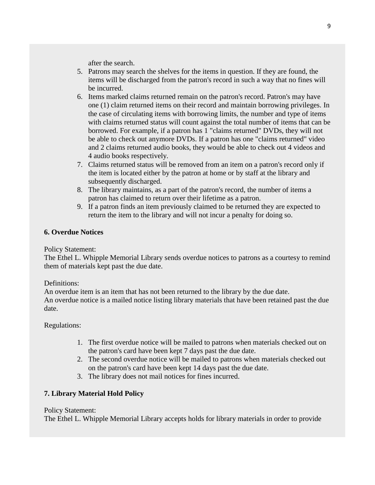after the search.

- 5. Patrons may search the shelves for the items in question. If they are found, the items will be discharged from the patron's record in such a way that no fines will be incurred.
- 6. Items marked claims returned remain on the patron's record. Patron's may have one (1) claim returned items on their record and maintain borrowing privileges. In the case of circulating items with borrowing limits, the number and type of items with claims returned status will count against the total number of items that can be borrowed. For example, if a patron has 1 "claims returned" DVDs, they will not be able to check out anymore DVDs. If a patron has one "claims returned" video and 2 claims returned audio books, they would be able to check out 4 videos and 4 audio books respectively.
- 7. Claims returned status will be removed from an item on a patron's record only if the item is located either by the patron at home or by staff at the library and subsequently discharged.
- 8. The library maintains, as a part of the patron's record, the number of items a patron has claimed to return over their lifetime as a patron.
- 9. If a patron finds an item previously claimed to be returned they are expected to return the item to the library and will not incur a penalty for doing so.

# **6. Overdue Notices**

Policy Statement:

The Ethel L. Whipple Memorial Library sends overdue notices to patrons as a courtesy to remind them of materials kept past the due date.

# Definitions:

An overdue item is an item that has not been returned to the library by the due date. An overdue notice is a mailed notice listing library materials that have been retained past the due date.

# Regulations:

- 1. The first overdue notice will be mailed to patrons when materials checked out on the patron's card have been kept 7 days past the due date.
- 2. The second overdue notice will be mailed to patrons when materials checked out on the patron's card have been kept 14 days past the due date.
- 3. The library does not mail notices for fines incurred.

# **7. Library Material Hold Policy**

# Policy Statement:

The Ethel L. Whipple Memorial Library accepts holds for library materials in order to provide